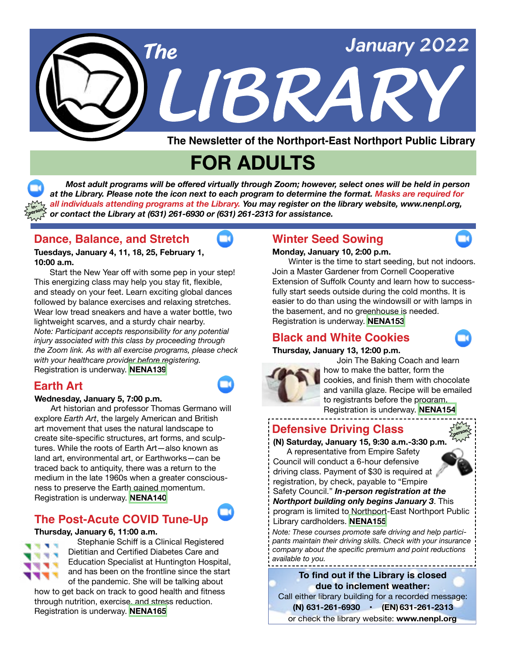

**The Newsletter of the Northport-East Northport Public Library**

# **FOR ADULTS**

 *Most adult programs will be offered virtually through Zoom; however, select ones will be held in person at the Library. Please note the icon next to each program to determine the format. Masks are required for all individuals attending programs at the Library. You may register on the library website, www.nenpl.org, or contact the Library at (631) 261-6930 or (631) 261-2313 for assistance.* **inperson**

md.

## **Dance, Balance, and Stretch**

**Tuesdays, January 4, 11, 18, 25, February 1, 10:00 a.m.**

 Start the New Year off with some pep in your step! This energizing class may help you stay fit, flexible, and steady on your feet. Learn exciting global dances followed by balance exercises and relaxing stretches. Wear low tread sneakers and have a water bottle, two lightweight scarves, and a sturdy chair nearby. *Note: Participant accepts responsibility for any potential injury associated with this class by proceeding through the Zoom link. As with all exercise programs, please check with your healthcare provider before registering.* Registration is underway. **[NENA139](https://www.nenpl.org/events/dance-balance-and-stretch-zoom-3)**

## **Earth Art**

#### **Wednesday, January 5, 7:00 p.m.**

 Art historian and professor Thomas Germano will explore *Earth Art*, the largely American and British art movement that uses the natural landscape to create site-specific structures, art forms, and sculptures. While the roots of Earth Art—also known as land art, environmental art, or Earthworks—can be traced back to antiquity, there was a return to the medium in the late 1960s when a greater consciousness to preserve the Earth gained momentum. Registration is underway. **[NENA140](https://www.nenpl.org/events/earth-art-zoom)**

## **The Post-Acute COVID Tune-Up**

#### **Thursday, January 6, 11:00 a.m.**



Stephanie Schiff is a Clinical Registered Dietitian and Certified Diabetes Care and Education Specialist at Huntington Hospital, and has been on the frontline since the start of the pandemic. She will be talking about

how to get back on track to good health and fitness through nutrition, exercise, and stress reduction. Registration is underway. **[NENA165](https://www.nenpl.org/events/post-acute-covid-tune-zoom)**

## **Winter Seed Sowing**

#### **Monday, January 10, 2:00 p.m.**

 Winter is the time to start seeding, but not indoors. Join a Master Gardener from Cornell Cooperative Extension of Suffolk County and learn how to successfully start seeds outside during the cold months. It is easier to do than using the windowsill or with lamps in the basement, and no greenhouse is needed. Registration is underway. **[NENA153](https://www.nenpl.org/events/winter-seed-sowing-zoom)**

## **Black and White Cookies**

#### **Thursday, January 13, 12:00 p.m.**



 Join The Baking Coach and learn how to make the batter, form the cookies, and finish them with chocolate and vanilla glaze. Recipe will be emailed to registrants before the program. Registration is underway. **[NENA154](https://www.nenpl.org/events/black-and-white-cookies-zoom)**

**Defensive Driving Class**

## **(N) Saturday, January 15, 9:30 a.m.-3:30 p.m.**

 A representative from Empire Safety Council will conduct a 6-hour defensive driving class. Payment of \$30 is required at registration, by check, payable to "Empire



**in-**

Safety Council." *In-person registration at the Northport building onl***y** *begins January 3*. This program is limited to Northport-East Northport Public Library cardholders. **[NENA155](https://www.nenpl.org/events/defensive-driving-class-person)**

*Note: These courses promote safe driving and help participants maintain their driving skills. Check with your insurance company about the specific premium and point reductions available to you.*

#### **To find out if the Library is closed due to inclement weather:**

Call either library building for a recorded message:  **(N) 631-261-6930 • (EN) 631-261-2313**

or check the library website: **www.nenpl.org**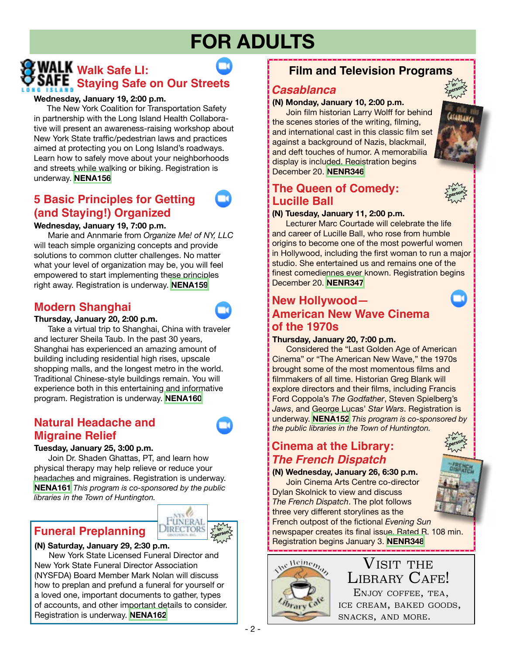# **FOR ADULTS**

## **WALK** Walk Safe LI: **Staying Safe on Our Streets**

#### **Wednesday, January 19, 2:00 p.m.**

The New York Coalition for Transportation Safety in partnership with the Long Island Health Collaborative will present an awareness-raising workshop about New York State traffic/pedestrian laws and practices aimed at protecting you on Long Island's roadways. Learn how to safely move about your neighborhoods and streets while walking or biking. Registration is underway. **[NENA156](https://www.nenpl.org/events/walk-safe-li-staying-safe-our-streets-zoom)**

## **5 Basic Principles for Getting (and Staying!) Organized**

#### **Wednesday, January 19, 7:00 p.m.**

 Marie and Annmarie from *Organize Me! of NY, LLC*  will teach simple organizing concepts and provide solutions to common clutter challenges. No matter what your level of organization may be, you will feel empowered to start implementing these principles right away. Registration is underway. **[NENA159](https://www.nenpl.org/events/5-basic-principles-getting-and-staying-organized-zoom)**

## **Modern Shanghai**

#### **Thursday, January 20, 2:00 p.m.**

 Take a virtual trip to Shanghai, China with traveler and lecturer Sheila Taub. In the past 30 years, Shanghai has experienced an amazing amount of building including residential high rises, upscale shopping malls, and the longest metro in the world. Traditional Chinese-style buildings remain. You will experience both in this entertaining and informative program. Registration is underway. **[NENA160](https://www.nenpl.org/events/modern-shanghai-zoom)**

## **Natural Headache and Migraine Relief**

#### **Tuesday, January 25, 3:00 p.m.**

 Join Dr. Shaden Ghattas, PT, and learn how physical therapy may help relieve or reduce your headaches and migraines. Registration is underway. **[NENA161](https://www.nenpl.org/events/natural-headache-and-migraine-relief-zoom)** *This program is co-sponsored by the public libraries in the Town of Huntington.*



#### **(N) Saturday, January 29, 2:30 p.m.**

 New York State Licensed Funeral Director and New York State Funeral Director Association (NYSFDA) Board Member Mark Nolan will discuss how to preplan and prefund a funeral for yourself or a loved one, important documents to gather, types of accounts, and other important details to consider. Registration is underway. **[NENA162](https://www.nenpl.org/events/funeral-preplanning-person)** 

## **Film and Television Programs**

#### *Casablanca*

#### **(N) Monday, January 10, 2:00 p.m.**

 Join film historian Larry Wolff for behind the scenes stories of the writing, filming, and international cast in this classic film set against a background of Nazis, blackmail, and deft touches of humor. A memorabilia display is included. Registration begins December 20. **[NENR346](https://www.nenpl.org/events/casablanca-person)**

## **The Queen of Comedy: Lucille Ball**



**inperson**

**inperson**

#### **(N) Tuesday, January 11, 2:00 p.m.**

 Lecturer Marc Courtade will celebrate the life and career of Lucille Ball, who rose from humble origins to become one of the most powerful women in Hollywood, including the first woman to run a major studio. She entertained us and remains one of the finest comediennes ever known. Registration begins December 20. **[NENR347](https://www.nenpl.org/events/queen-comedy-lucille-ball-person)**

### **New Hollywood— American New Wave Cinema of the 1970s**

#### **Thursday, January 20, 7:00 p.m.**

 Considered the "Last Golden Age of American Cinema" or "The American New Wave," the 1970s brought some of the most momentous films and filmmakers of all time. Historian Greg Blank will explore directors and their films, including Francis Ford Coppola's *The Godfather*, Steven Spielberg's *Jaws*, and George Lucas' *Star Wars*. Registration is underway. **[NENA152](https://www.nenpl.org/events/new-hollywood-american-new-wave-cinema-1970s-zoom)** *This program is co-sponsored by the public libraries in the Town of Huntington.*

## *The French Dispatch* **Cinema at the Library:**

#### **(N) Wednesday, January 26, 6:30 p.m.**

 Join Cinema Arts Centre co-director Dylan Skolnick to view and discuss *The French Dispatch*. The plot follows three very different storylines as the

French outpost of the fictional *Evening Sun* newspaper creates its final issue. Rated R. 108 min. Registration begins January 3. **[NENR348](https://www.nenpl.org/events/cinema-library-french-dispatch-person)**



## LIBRARY CAFE!  $\rm V$ isit the Enjoy coffee, tea,

ice cream, baked goods, snacks, and more.

**inperson**

**FÜNERA DIRECTOR**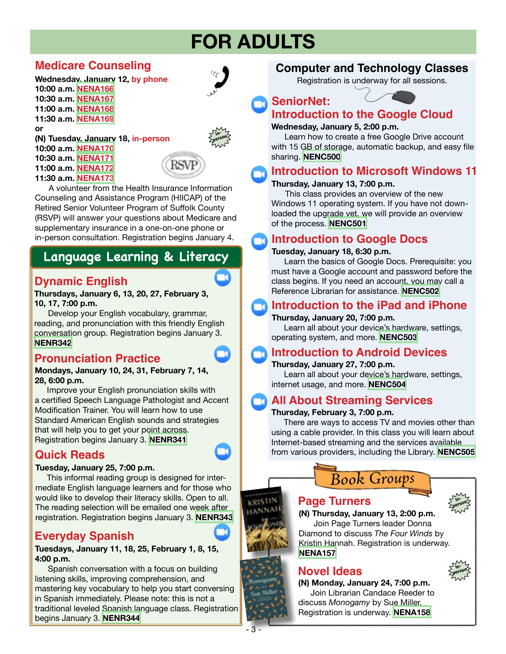# **FOR ADULTS**

## **Medicare Counseling**

#### **Wednesday, January 12, by phone 10:00 a.m. [NENA166](https://www.nenpl.org/events/medicare-couseling-phone-4) 10:30 a.m. [NENA167](https://www.nenpl.org/events/medicare-couseling-phone-3)**

**11:00 a.m. [NENA168](https://www.nenpl.org/events/medicare-couseling-phone-5) 11:30 a.m. [NENA169](https://www.nenpl.org/events/medicare-couseling-phone-6) or**



**inperson**





 A volunteer from the Health Insurance Information Counseling and Assistance Program (HIICAP) of the Retired Senior Volunteer Program of Suffolk County (RSVP) will answer your questions about Medicare and supplementary insurance in a one-on-one phone or in-person consultation. Registration begins January 4.

## **Language Learning & Literacy**

## **Dynamic English**

#### **Thursdays, January 6, 13, 20, 27, February 3, 10, 17, 7:00 p.m.**

 Develop your English vocabulary, grammar, reading, and pronunciation with this friendly English conversation group. Registration begins January 3. **[NENR342](https://www.nenpl.org/events/dynamic-english-zoom-8)**

## **Pronunciation Practice**

**Mondays, January 10, 24, 31, February 7, 14, 28, 6:00 p.m.**

Improve your English pronunciation skills with a certified Speech Language Pathologist and Accent Modification Trainer. You will learn how to use Standard American English sounds and strategies that will help you to get your point across. Registration begins January 3. **[NENR341](https://www.nenpl.org/events/pronunciation-practice-zoom-7)**

## **Quick Reads**

#### **Tuesday, January 25, 7:00 p.m.**

This informal reading group is designed for intermediate English language learners and for those who would like to develop their literacy skills. Open to all. The reading selection will be emailed one week after registration. Registration begins January 3. **[NENR343](https://www.nenpl.org/events/quick-reads-zoom)**

## **Everyday Spanish**

#### **Tuesdays, January 11, 18, 25, February 1, 8, 15, 4:00 p.m.**

Spanish conversation with a focus on building listening skills, improving comprehension, and mastering key vocabulary to help you start conversing in Spanish immediately. Please note: this is not a traditional leveled Spanish language class. Registration begins January 3. **[NENR344](https://www.nenpl.org/events/everyday-spanish-zoom-7)**

## **Computer and Technology Classes**

Registration is underway for all sessions.

**SeniorNet:**

## **Introduction to the Google Cloud**

#### **Wednesday, January 5, 2:00 p.m.**

 Learn how to create a free Google Drive account with 15 GB of storage, automatic backup, and easy file sharing. **[NENC500](https://www.nenpl.org/events/seniornet-introduction-google-cloud-zoom)**

## **Introduction to Microsoft Windows 11**

#### **Thursday, January 13, 7:00 p.m.**

 This class provides an overview of the new Windows 11 operating system. If you have not downloaded the upgrade yet, we will provide an overview of the process. **[NENC501](https://www.nenpl.org/events/introduction-microsoft-windows-11-zoom)**

## **Introduction to Google Docs**

#### **Tuesday, January 18, 6:30 p.m.**

 Learn the basics of Google Docs. Prerequisite: you must have a Google account and password before the class begins. If you need an account, you may call a Reference Librarian for assistance. **[NENC502](https://www.nenpl.org/events/introduction-google-docs-zoom)**

## **Introduction to the iPad and iPhone**

#### **Thursday, January 20, 7:00 p.m.**

 Learn all about your device's hardware, settings, operating system, and more. **[NENC503](https://www.nenpl.org/events/introduction-ipad-and-iphone-zoom)**

## **Introduction to Android Devices**

#### **Thursday, January 27, 7:00 p.m.**

 Learn all about your device's hardware, settings, internet usage, and more. **[NENC504](https://www.nenpl.org/events/introduction-android-devices-zoom)**

## **All About Streaming Services**

#### **Thursday, February 3, 7:00 p.m.**

 There are ways to access TV and movies other than using a cable provider. In this class you will learn about Internet-based streaming and the services available from various providers, including the Library. **[NENC505](https://www.nenpl.org/events/all-about-streaming-services-zoom)**





## **Page Turners**

**(N) Thursday, January 13, 2:00 p.m.** Join Page Turners leader Donna Diamond to discuss *The Four Winds* by Kristin Hannah. Registration is underway. **[NENA157](https://www.nenpl.org/events/page-turners-person)**

## **Novel Ideas**

**(N) Monday, January 24, 7:00 p.m.** Join Librarian Candace Reeder to discuss *Monogamy* by Sue Miller. Registration is underway. **[NENA158](https://www.nenpl.org/events/novel-ideas-person-0)**



 $\overline{3}$ 

KRISTI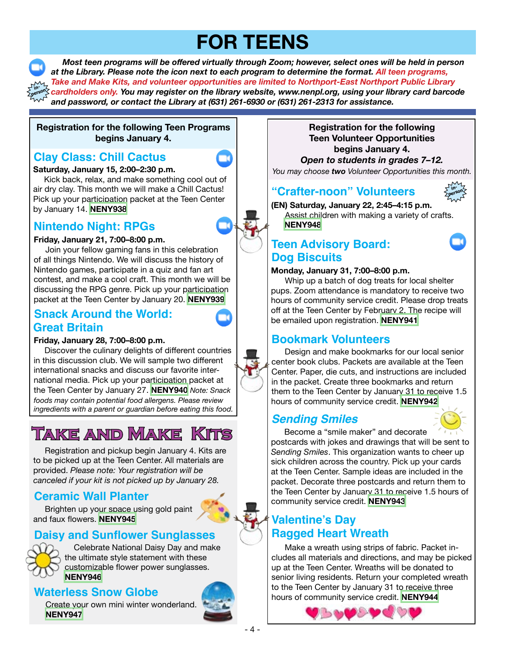# **FOR TEENS**

 *Most teen programs will be offered virtually through Zoom; however, select ones will be held in person at the Library. Please note the icon next to each program to determine the format. All teen programs, Take and Make Kits, and volunteer opportunities are limited to Northport-East Northport Public Library cardholders only. You may register on the library website, www.nenpl.org, using your library card barcode and password, or contact the Library at (631) 261-6930 or (631) 261-2313 for assistance.* **person**

#### **Registration for the following Teen Programs begins January 4.**

## **Clay Class: Chill Cactus**

**in-**

#### **Saturday, January 15, 2:00–2:30 p.m.**

Kick back, relax, and make something cool out of air dry clay. This month we will make a Chill Cactus! Pick up your participation packet at the Teen Center by January 14. **[NENY938](https://www.nenpl.org/events/clay-class-chill-cactus-zoom)**

## **Nintendo Night: RPGs**

#### **Friday, January 21, 7:00–8:00 p.m.**

Join your fellow gaming fans in this celebration of all things Nintendo. We will discuss the history of Nintendo games, participate in a quiz and fan art contest, and make a cool craft. This month we will be discussing the RPG genre. Pick up your participation packet at the Teen Center by January 20. **[NENY939](https://www.nenpl.org/events/nintendo-night-rpgs-zoom)**

## **Snack Around the World: Great Britain**

#### **Friday, January 28, 7:00–8:00 p.m.**

Discover the culinary delights of different countries in this discussion club. We will sample two different international snacks and discuss our favorite international media. Pick up your participation packet at the Teen Center by January 27. **[NENY940](https://www.nenpl.org/events/snack-around-world-great-britain-zoom)** *Note: Snack foods may contain potential food allergens. Please review ingredients with a parent or guardian before eating this food.*

## **Take and Make Kits**

 Registration and pickup begin January 4. Kits are to be picked up at the Teen Center. All materials are provided. *Please note: Your registration will be canceled if your kit is not picked up by January 28.*

## **Ceramic Wall Planter**

 Brighten up your space using gold paint and faux flowers. **[NENY945](https://www.nenpl.org/events/ceramic-wall-planter-take-and-make)**

## **Daisy and Sunflower Sunglasses**



 Celebrate National Daisy Day and make the ultimate style statement with these customizable flower power sunglasses. **[NENY946](https://www.nenpl.org/events/daisy-and-sunflower-sunglasses-take-and-make)**

## **Waterless Snow Globe**

 Create your own mini winter wonderland. **[NENY947](https://www.nenpl.org/events/waterless-snow-globe-take-and-make)**



#### **Registration for the following Teen Volunteer Opportunities begins January 4.**

*Open to students in grades 7–12.*

#### *You may choose two Volunteer Opportunities this month.*

## **"Crafter-noon" Volunteers**



**(EN) Saturday, January 22, 2:45–4:15 p.m.** Assist children with making a variety of crafts. **[NENY948](https://www.nenpl.org/events/crafter-noon-volunteers-person)**

## **Teen Advisory Board: Dog Biscuits**

#### **Monday, January 31, 7:00–8:00 p.m.**

 Whip up a batch of dog treats for local shelter pups. Zoom attendance is mandatory to receive two hours of community service credit. Please drop treats off at the Teen Center by February 2. The recipe will be emailed upon registration. **[NENY941](https://www.nenpl.org/events/teen-advisory-board-dog-biscuits-zoom)**

## **Bookmark Volunteers**

 Design and make bookmarks for our local senior center book clubs. Packets are available at the Teen Center. Paper, die cuts, and instructions are included in the packet. Create three bookmarks and return them to the Teen Center by January 31 to receive 1.5 hours of community service credit. **[NENY942](https://www.nenpl.org/events/bookmark-volunteers)**

## *Sending Smiles*



Become a "smile maker" and decorate

postcards with jokes and drawings that will be sent to *Sending Smiles*. This organization wants to cheer up sick children across the country. Pick up your cards at the Teen Center. Sample ideas are included in the packet. Decorate three postcards and return them to the Teen Center by January 31 to receive 1.5 hours of community service credit. **[NENY943](https://www.nenpl.org/events/sending-smiles)**

## **Valentine's Day Ragged Heart Wreath**

 Make a wreath using strips of fabric. Packet includes all materials and directions, and may be picked up at the Teen Center. Wreaths will be donated to senior living residents. Return your completed wreath to the Teen Center by January 31 to receive three hours of community service credit. **[NENY944](https://www.nenpl.org/events/valentines-day-ragged-heart-wreath)**

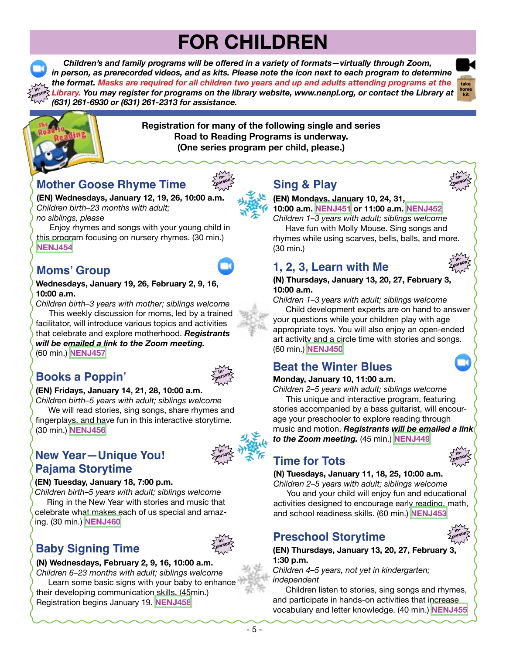# **FOR CHILDREN**

 *Children's and family programs will be offered in a variety of formats—virtually through Zoom, in person, as prerecorded videos, and as kits. Please note the icon next to each program to determine the format. Masks are required for all children two years and up and adults attending programs at the Library. You may register for programs on the library website, www.nenpl.org, or contact the Library at (631) 261-6930 or (631) 261-2313 for assistance.* **inperson**

> **inperson**





**Registration for many of the following single and series Road to Reading Programs is underway. (One series program per child, please.)**

## **Mother Goose Rhyme Time**

**(EN) Wednesdays, January 12, 19, 26, 10:00 a.m.** *Children birth–23 months with adult; no siblings, please*

 Enjoy rhymes and songs with your young child in this program focusing on nursery rhymes. (30 min.) **[NENJ454](https://www.nenpl.org/events/mother-goose-rhyme-time-person-1)**

## **Moms' Group**

**Wednesdays, January 19, 26, February 2, 9, 16, 10:00 a.m.**

*Children birth–3 years with mother; siblings welcome* This weekly discussion for moms, led by a trained facilitator, will introduce various topics and activities that celebrate and explore motherhood. *Registrants* 

*will be emailed a link to the Zoom meeting.* (60 min.) **[NENJ457](https://www.nenpl.org/events/moms-group-virtual-3)**

## **Books a Poppin'**



#### **(EN) Fridays, January 14, 21, 28, 10:00 a.m.**

*Children birth–5 years with adult; siblings welcome* We will read stories, sing songs, share rhymes and fingerplays, and have fun in this interactive storytime. (30 min.) **[NENJ456](https://www.nenpl.org/events/books-poppin-person-10)**

## **New Year—Unique You! Pajama Storytime**

#### **(EN) Tuesday, January 18, 7:00 p.m.**

*Children birth–5 years with adult; siblings welcome* Ring in the New Year with stories and music that celebrate what makes each of us special and amazing. (30 min.) **[NENJ460](https://www.nenpl.org/events/new-year-unique-you-pj-storytime-person)**

## **Baby Signing Time**



**inperson**

#### **(N) Wednesdays, February 2, 9, 16, 10:00 a.m.**

*Children 6–23 months with adult; siblings welcome* Learn some basic signs with your baby to enhance their developing communication skills. (45min.) Registration begins January 19. **[NENJ458](https://www.nenpl.org/events/baby-signing-time-person-1)**

## **Sing & Play**



**(EN) Mondays, January 10, 24, 31, 10:00 a.m. [NENJ451](https://www.nenpl.org/events/sing-play-person-7) or 11:00 a.m. [NENJ452](https://www.nenpl.org/events/sing-play-person-10)** *Children 1–3 years with adult; siblings welcome*

 Have fun with Molly Mouse. Sing songs and rhymes while using scarves, bells, balls, and more. (30 min.)

## **1, 2, 3, Learn with Me**



#### **(N) Thursdays, January 13, 20, 27, February 3, 10:00 a.m.**

*Children 1–3 years with adult; siblings welcome* Child development experts are on hand to answer your questions while your children play with age appropriate toys. You will also enjoy an open-ended art activity and a circle time with stories and songs. (60 min.) **[NENJ450](https://www.nenpl.org/events/1-2-3-learn-me-person-2)**

## **Beat the Winter Blues**

## **Monday, January 10, 11:00 a.m.**

*Children 2–5 years with adult; siblings welcome* This unique and interactive program, featuring stories accompanied by a bass guitarist, will encourage your preschooler to explore reading through music and motion. *Registrants will be emailed a link to the Zoom meeting.* (45 min.) **[NENJ449](https://www.nenpl.org/events/beat-winter-blues-zoom)**

## **Time for Tots**

#### **(N) Tuesdays, January 11, 18, 25, 10:00 a.m.**

*Children 2–5 years with adult; siblings welcome* You and your child will enjoy fun and educational activities designed to encourage early reading, math, and school readiness skills. (60 min.) **[NENJ453](https://www.nenpl.org/events/time-tots-person-2)**

## **Preschool Storytime**



**inperson**

**(EN) Thursdays, January 13, 20, 27, February 3, 1:30 p.m.** 

*Children 4–5 years, not yet in kindergarten; independent*

 Children listen to stories, sing songs and rhymes, and participate in hands-on activities that increase vocabulary and letter knowledge. (40 min.) **[NENJ455](https://www.nenpl.org/events/preschool-storytime-person-6)**

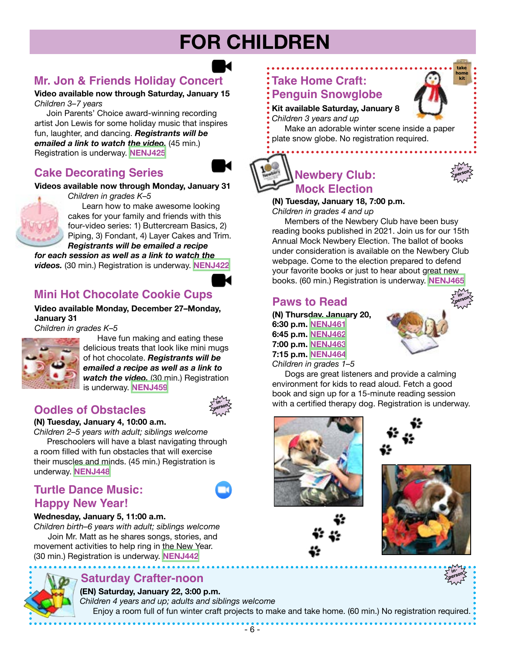# **FOR CHILDREN**

## **Mr. Jon & Friends Holiday Concert**

**Video available now through Saturday, January 15** *Children 3–7 years*

 Join Parents' Choice award-winning recording artist Jon Lewis for some holiday music that inspires fun, laughter, and dancing. *Registrants will be emailed a link to watch the video.* (45 min.) Registration is underway. **[NENJ425](https://www.nenpl.org/events/mr-jon-and-friends-holiday-concert-video)**

## **Cake Decorating Series**

#### **Videos available now through Monday, January 31**

*Children in grades K–5*



 Learn how to make awesome looking cakes for your family and friends with this four-video series: 1) Buttercream Basics, 2) Piping, 3) Fondant, 4) Layer Cakes and Trim. *Registrants will be emailed a recipe*

*for each session as well as a link to watch the videos.* (30 min.) Registration is underway. **[NENJ422](https://www.nenpl.org/events/cake-decorating-series-4-videos)**

## **Mini Hot Chocolate Cookie Cups**

**Video available Monday, December 27–Monday, January 31**

*Children in grades K–5*



 Have fun making and eating these delicious treats that look like mini mugs of hot chocolate. *Registrants will be emailed a recipe as well as a link to watch the video.* (30 min.) Registration is underway. **[NENJ459](https://www.nenpl.org/events/mini-hot-chocolate-cookie-cups-video)**

## **Oodles of Obstacles**

#### **(N) Tuesday, January 4, 10:00 a.m.**

*Children 2–5 years with adult; siblings welcome*

 Preschoolers will have a blast navigating through a room filled with fun obstacles that will exercise their muscles and minds. (45 min.) Registration is underway. **[NENJ448](https://www.nenpl.org/events/oodles-obstacles-person)**

## **Turtle Dance Music: Happy New Year!**



**inperson**

#### **Wednesday, January 5, 11:00 a.m.**

*Children birth–6 years with adult; siblings welcome* Join Mr. Matt as he shares songs, stories, and movement activities to help ring in the New Year. (30 min.) Registration is underway. **[NENJ442](https://www.nenpl.org/events/turtle-dance-music-happy-new-year-zoom)**

## **Saturday Crafter-noon**

**(EN) Saturday, January 22, 3:00 p.m.** *Children 4 years and up; adults and siblings welcome* Enjoy a room full of fun winter craft projects to make and take home. (60 min.) No registration required.

## **Take Home Craft: Penguin Snowglobe**

**Kit available Saturday, January 8** *Children 3 years and up*

Make an adorable winter scene inside a paper plate snow globe. No registration required.

## **Newbery Club: Mock Election**

#### **(N) Tuesday, January 18, 7:00 p.m.**

*Children in grades 4 and up*

Members of the Newbery Club have been busy reading books published in 2021. Join us for our 15th Annual Mock Newbery Election. The ballot of books under consideration is available on the Newbery Club webpage. Come to the election prepared to defend your favorite books or just to hear about great new books. (60 min.) Registration is underway. **[NENJ465](https://www.nenpl.org/events/newbery-club-mock-election-person)**

## **Paws to Read**

**(N) Thursday, January 20, 6:30 p.m. [NENJ461](https://www.nenpl.org/events/paws-read-person-3) 6:45 p.m. [NENJ462](https://www.nenpl.org/events/paws-read-person-4) 7:00 p.m. [NENJ463](https://www.nenpl.org/events/paws-read-person-5) 7:15 p.m. [NENJ464](https://www.nenpl.org/events/paws-read-person-6)** *Children in grades 1–5*



 Dogs are great listeners and provide a calming environment for kids to read aloud. Fetch a good book and sign up for a 15-minute reading session with a certified therapy dog. Registration is underway.









**inperson**



**take home kit**

**inperson**

**in-**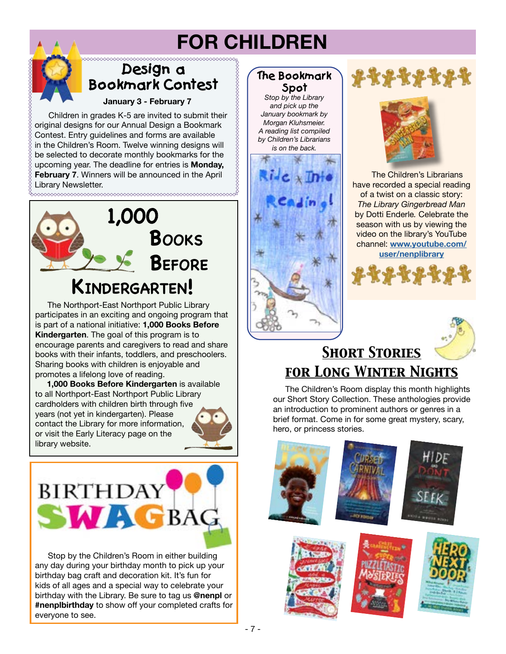# **FOR CHILDREN**

## **Design a Bookmark Contest**

**January 3 - February 7**

 Children in grades K-5 are invited to submit their original designs for our Annual Design a Bookmark Contest. Entry guidelines and forms are available in the Children's Room. Twelve winning designs will be selected to decorate monthly bookmarks for the upcoming year. The deadline for entries is **Monday, February 7**. Winners will be announced in the April Library Newsletter. 



 The Northport-East Northport Public Library participates in an exciting and ongoing program that is part of a national initiative: **1,000 Books Before Kindergarten**. The goal of this program is to encourage parents and caregivers to read and share books with their infants, toddlers, and preschoolers. Sharing books with children is enjoyable and promotes a lifelong love of reading.

 **1,000 Books Before Kindergarten** is available to all Northport-East Northport Public Library cardholders with children birth through five years (not yet in kindergarten). Please contact the Library for more information, or visit the Early Literacy page on the library website.



 Stop by the Children's Room in either building any day during your birthday month to pick up your birthday bag craft and decoration kit. It's fun for kids of all ages and a special way to celebrate your birthday with the Library. Be sure to tag us **@nenpl** or **#nenplbirthday** to show off your completed crafts for everyone to see.

## **The Bookmark Spot**

*Stop by the Library and pick up the January bookmark by Morgan Kluhsmeier. A reading list compiled by Children's Librarians is on the back.*







 The Children's Librarians have recorded a special reading of a twist on a classic story: *The Library Gingerbread Man* by Dotti Enderle*.* Celebrate the season with us by viewing the video on the library's YouTube channel: **[www.youtube.com/](http://www.youtube.com/user/nenplibrary) [user/nenplibrary](http://www.youtube.com/user/nenplibrary)**





## *Short Stories for Long Winter Nights*

 The Children's Room display this month highlights our Short Story Collection. These anthologies provide an introduction to prominent authors or genres in a brief format. Come in for some great mystery, scary, hero, or princess stories.